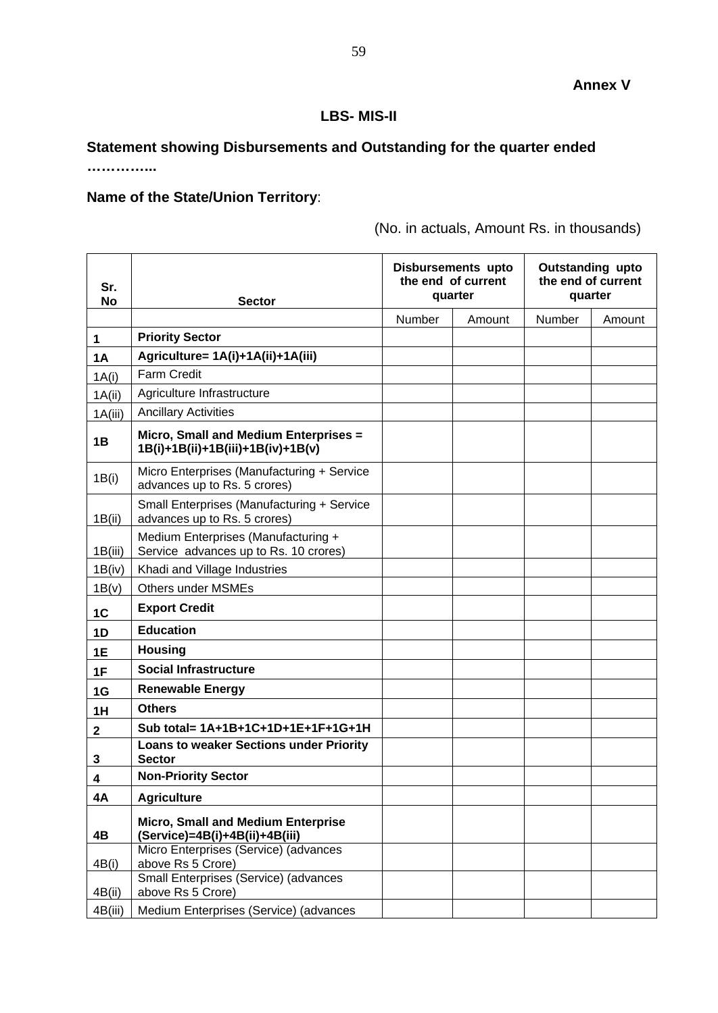## **LBS- MIS-II**

## **Statement showing Disbursements and Outstanding for the quarter ended**

**…………...**

## **Name of the State/Union Territory**:

(No. in actuals, Amount Rs. in thousands)

| Sr.<br><b>No</b> | <b>Sector</b>                                                                |        | Disbursements upto<br>the end of current<br>quarter | <b>Outstanding upto</b><br>the end of current<br>quarter |        |
|------------------|------------------------------------------------------------------------------|--------|-----------------------------------------------------|----------------------------------------------------------|--------|
|                  |                                                                              | Number | Amount                                              | Number                                                   | Amount |
| 1                | <b>Priority Sector</b>                                                       |        |                                                     |                                                          |        |
| <b>1A</b>        | Agriculture= 1A(i)+1A(ii)+1A(iii)                                            |        |                                                     |                                                          |        |
| 1A(i)            | <b>Farm Credit</b>                                                           |        |                                                     |                                                          |        |
| 1A(ii)           | Agriculture Infrastructure                                                   |        |                                                     |                                                          |        |
| 1A(iii)          | <b>Ancillary Activities</b>                                                  |        |                                                     |                                                          |        |
| 1B               | Micro, Small and Medium Enterprises =<br>1B(i)+1B(ii)+1B(iii)+1B(iv)+1B(v)   |        |                                                     |                                                          |        |
| 1B(i)            | Micro Enterprises (Manufacturing + Service<br>advances up to Rs. 5 crores)   |        |                                                     |                                                          |        |
| 1B(ii)           | Small Enterprises (Manufacturing + Service<br>advances up to Rs. 5 crores)   |        |                                                     |                                                          |        |
| 1B(iii)          | Medium Enterprises (Manufacturing +<br>Service advances up to Rs. 10 crores) |        |                                                     |                                                          |        |
| 1B(iv)           | Khadi and Village Industries                                                 |        |                                                     |                                                          |        |
| 1B(v)            | <b>Others under MSMEs</b>                                                    |        |                                                     |                                                          |        |
| 1C               | <b>Export Credit</b>                                                         |        |                                                     |                                                          |        |
| 1D               | <b>Education</b>                                                             |        |                                                     |                                                          |        |
| 1E               | <b>Housing</b>                                                               |        |                                                     |                                                          |        |
| 1F               | <b>Social Infrastructure</b>                                                 |        |                                                     |                                                          |        |
| 1G               | <b>Renewable Energy</b>                                                      |        |                                                     |                                                          |        |
| 1H               | <b>Others</b>                                                                |        |                                                     |                                                          |        |
| $\mathbf{2}$     | Sub total= 1A+1B+1C+1D+1E+1F+1G+1H                                           |        |                                                     |                                                          |        |
| 3                | <b>Loans to weaker Sections under Priority</b><br><b>Sector</b>              |        |                                                     |                                                          |        |
| 4                | <b>Non-Priority Sector</b>                                                   |        |                                                     |                                                          |        |
| 4Α               | <b>Agriculture</b>                                                           |        |                                                     |                                                          |        |
| 4B               | <b>Micro, Small and Medium Enterprise</b><br>(Service)=4B(i)+4B(ii)+4B(iii)  |        |                                                     |                                                          |        |
| 4B(i)            | Micro Enterprises (Service) (advances<br>above Rs 5 Crore)                   |        |                                                     |                                                          |        |
| 4B(ii)           | Small Enterprises (Service) (advances<br>above Rs 5 Crore)                   |        |                                                     |                                                          |        |
| 4B(iii)          | Medium Enterprises (Service) (advances                                       |        |                                                     |                                                          |        |